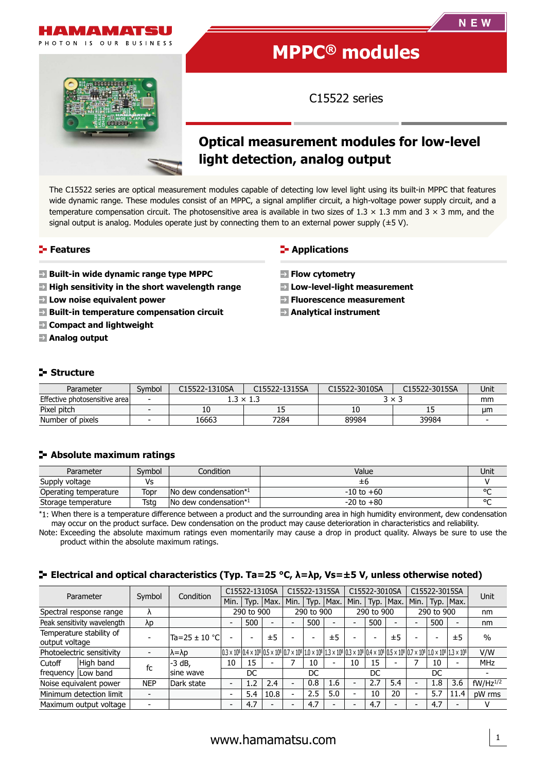



# **MPPC® modules**

C15522 series

# **Optical measurement modules for low-level light detection, analog output**

The C15522 series are optical measurement modules capable of detecting low level light using its built-in MPPC that features wide dynamic range. These modules consist of an MPPC, a signal amplifier circuit, a high-voltage power supply circuit, and a temperature compensation circuit. The photosensitive area is available in two sizes of  $1.3 \times 1.3$  mm and  $3 \times 3$  mm, and the signal output is analog. Modules operate just by connecting them to an external power supply  $(\pm 5 \text{ V})$ .

#### **Features**

- **Built-in wide dynamic range type MPPC**
- **High sensitivity in the short wavelength range**
- **Low noise equivalent power**
- **Built-in temperature compensation circuit**
- **Compact and lightweight**
- **Analog output**

#### **E-** Applications

- **Flow cytometry**
- **Low-level-light measurement**
- **Fluorescence measurement**
- **Analytical instrument**

#### **Structure**

| Parameter                      | Symbol                   | C15522-1310SA    | C15522-1315SA | C15522-3010SA | C15522-3015SA | Unit |
|--------------------------------|--------------------------|------------------|---------------|---------------|---------------|------|
| Effective photosensitive areal |                          | $1.3 \times 1.3$ |               | 3 x .         | mm            |      |
| Pixel pitch                    | $\overline{\phantom{a}}$ | 10               | --            | τu            | --            | μm   |
| Number of pixels               |                          | 16663            | 7284          | 89984         | 39984         |      |

#### **Absolute maximum ratings**

| Parameter             | Svmbol | Condition                                     | Value          | Unit   |
|-----------------------|--------|-----------------------------------------------|----------------|--------|
| Supply voltage        | Vs     |                                               | ±b             |        |
| Operating temperature | Topr   | $\sqrt{N}$ dew condensation <sup>*1</sup>     | $-10$ to $+60$ | $\sim$ |
| Storage temperature   | Tsta   | $\mathsf{No}\$ dew condensation <sup>*1</sup> | $-20$ to $+80$ | $\sim$ |

\*1: When there is a temperature difference between a product and the surrounding area in high humidity environment, dew condensation may occur on the product surface. Dew condensation on the product may cause deterioration in characteristics and reliability.

Note: Exceeding the absolute maximum ratings even momentarily may cause a drop in product quality. Always be sure to use the product within the absolute maximum ratings.

#### **Electrical and optical characteristics (Typ. Ta=25 °C, λ=λp, Vs=±5 V, unless otherwise noted)**

| Parameter                                  | Symbol    | Condition  | C15522-1310SA |                          | C15522-1315SA |                          | C15522-3010SA            |             | C15522-3015SA            |                          |            |      |                          |                          |                                                                                                                                                                                                                   |               |
|--------------------------------------------|-----------|------------|---------------|--------------------------|---------------|--------------------------|--------------------------|-------------|--------------------------|--------------------------|------------|------|--------------------------|--------------------------|-------------------------------------------------------------------------------------------------------------------------------------------------------------------------------------------------------------------|---------------|
|                                            |           |            | Min.          |                          | Typ.   Max.   | Min.                     |                          | Typ.   Max. | Min.                     | Typ.                     | Max.       | Min. |                          | Typ.   Max.              | Unit                                                                                                                                                                                                              |               |
| Spectral response range                    |           | $\Lambda$  |               |                          | 290 to 900    |                          |                          | 290 to 900  |                          |                          | 290 to 900 |      |                          | 290 to 900               |                                                                                                                                                                                                                   | nm            |
| Peak sensitivity wavelength                |           | λp         |               | $\overline{\phantom{0}}$ | 500           | $\overline{\phantom{0}}$ | $\overline{a}$           | 500         | $\overline{\phantom{0}}$ | $\overline{\phantom{0}}$ | 500        |      | -                        | 500                      |                                                                                                                                                                                                                   | nm            |
| Temperature stability of<br>output voltage |           |            | Ta=25 ± 10 °C |                          | -             | ±5                       | $\overline{\phantom{0}}$ |             | ±5                       |                          |            | ±5   |                          | $\overline{\phantom{0}}$ | ±5                                                                                                                                                                                                                | $\%$          |
| Photoelectric sensitivity                  |           |            | λ=λp          |                          |               |                          |                          |             |                          |                          |            |      |                          |                          | $(0.3 \times 10^8)0.4 \times 10^8$ $(0.5 \times 10^8)0.7 \times 10^8$ $(1.0 \times 10^8)1.3 \times 10^8$ $(0.3 \times 10^8)0.4 \times 10^8$ $(0.5 \times 10^8)0.7 \times 10^8$ $(1.0 \times 10^8)1.3 \times 10^8$ | V/W           |
| Cutoff                                     | High band | fc         | -3 dB,        | 10                       | 15            |                          |                          | 10          |                          | 10                       | 15         |      |                          | 10                       |                                                                                                                                                                                                                   | <b>MHz</b>    |
| frequency   Low band                       |           |            | Isine wave    |                          | DC            |                          |                          | DC          |                          |                          | DC         |      |                          | DC                       |                                                                                                                                                                                                                   |               |
| Noise equivalent power                     |           | <b>NEP</b> | Dark state    |                          | 1.2           | 2.4                      | $\overline{\phantom{a}}$ | 0.8         | 1.6                      | $\blacksquare$           | 2.7        | 5.4  | $\blacksquare$           | 1.8                      | 3.6                                                                                                                                                                                                               | $fW/Hz^{1/2}$ |
| Minimum detection limit                    |           |            |               | $\overline{\phantom{0}}$ | 5.4           | 10.8                     | $\overline{\phantom{a}}$ | 2.5         | 5.0                      | $\overline{\phantom{0}}$ | 10         | 20   | $\overline{\phantom{a}}$ | 5.7                      | 11.4                                                                                                                                                                                                              | pW rms        |
| Maximum output voltage                     |           |            |               |                          | 4.7           |                          | $\overline{a}$           | 4.7         |                          |                          | 4.7        |      |                          | 4.7                      |                                                                                                                                                                                                                   | v             |

## [www.hamamatsu.com](http://www.hamamatsu.com) 1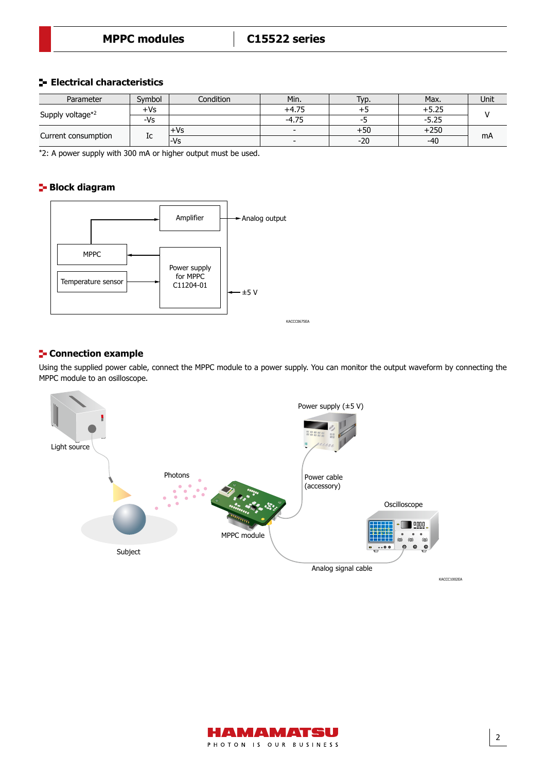#### **Electrical characteristics**

| Parameter           | Svmbol | Condition | Min.    | Typ.  | Max.   | Unit |
|---------------------|--------|-----------|---------|-------|--------|------|
| Supply voltage*2    | +Vs    |           | $+4.75$ |       | 0.ZJ   |      |
|                     | -Vs    |           | $-4.75$ | -5    | -5.25  |      |
| Current consumption |        | ∙Vs       |         | +50   | $+250$ |      |
|                     | 1c     | l-Vs      |         | $-20$ | $-40$  | mA   |

\*2: A power supply with 300 mA or higher output must be used.

#### **Block diagram**

Block diagram



#### **E-** Connection example

Using the supplied power cable, connect the MPPC module to a power supply. You can monitor the output waveform by connecting the MPPC module to an osilloscope.



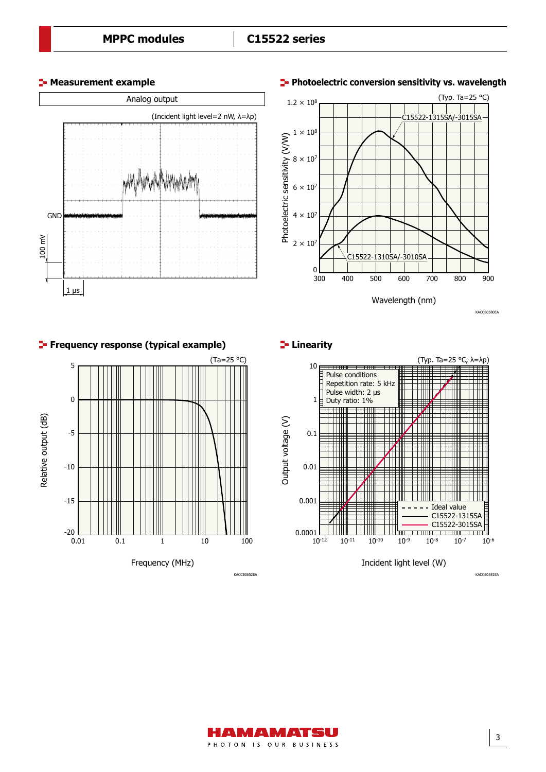





KACCB0580EA

3



**Linearity** 





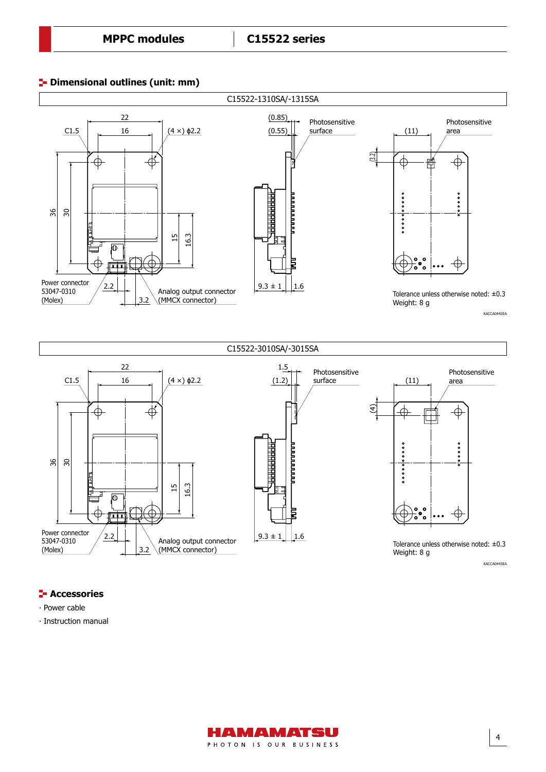#### **<sup>1</sup>** Dimensional outlines (unit: mm)



KACCA0443EA

4

### **F** Accessories

∙ Power cable

∙ Instruction manual